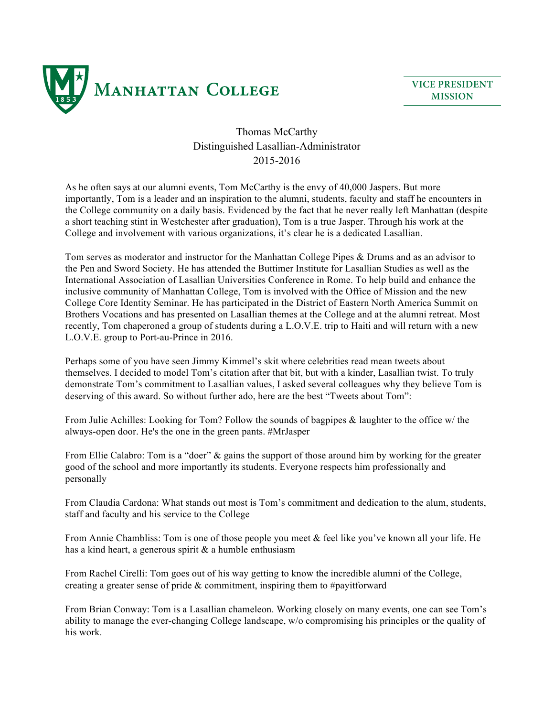

**VICE PRESIDENT MISSION**

## Thomas McCarthy Distinguished Lasallian-Administrator 2015-2016

As he often says at our alumni events, Tom McCarthy is the envy of 40,000 Jaspers. But more importantly, Tom is a leader and an inspiration to the alumni, students, faculty and staff he encounters in the College community on a daily basis. Evidenced by the fact that he never really left Manhattan (despite a short teaching stint in Westchester after graduation), Tom is a true Jasper. Through his work at the College and involvement with various organizations, it's clear he is a dedicated Lasallian.

Tom serves as moderator and instructor for the Manhattan College Pipes & Drums and as an advisor to the Pen and Sword Society. He has attended the Buttimer Institute for Lasallian Studies as well as the International Association of Lasallian Universities Conference in Rome. To help build and enhance the inclusive community of Manhattan College, Tom is involved with the Office of Mission and the new College Core Identity Seminar. He has participated in the District of Eastern North America Summit on Brothers Vocations and has presented on Lasallian themes at the College and at the alumni retreat. Most recently, Tom chaperoned a group of students during a L.O.V.E. trip to Haiti and will return with a new L.O.V.E. group to Port-au-Prince in 2016.

Perhaps some of you have seen Jimmy Kimmel's skit where celebrities read mean tweets about themselves. I decided to model Tom's citation after that bit, but with a kinder, Lasallian twist. To truly demonstrate Tom's commitment to Lasallian values, I asked several colleagues why they believe Tom is deserving of this award. So without further ado, here are the best "Tweets about Tom":

From Julie Achilles: Looking for Tom? Follow the sounds of bagpipes & laughter to the office w/ the always-open door. He's the one in the green pants. #MrJasper

From Ellie Calabro: Tom is a "doer" & gains the support of those around him by working for the greater good of the school and more importantly its students. Everyone respects him professionally and personally

From Claudia Cardona: What stands out most is Tom's commitment and dedication to the alum, students, staff and faculty and his service to the College

From Annie Chambliss: Tom is one of those people you meet & feel like you've known all your life. He has a kind heart, a generous spirit  $\&$  a humble enthusiasm

From Rachel Cirelli: Tom goes out of his way getting to know the incredible alumni of the College, creating a greater sense of pride & commitment, inspiring them to #payitforward

From Brian Conway: Tom is a Lasallian chameleon. Working closely on many events, one can see Tom's ability to manage the ever-changing College landscape, w/o compromising his principles or the quality of his work.